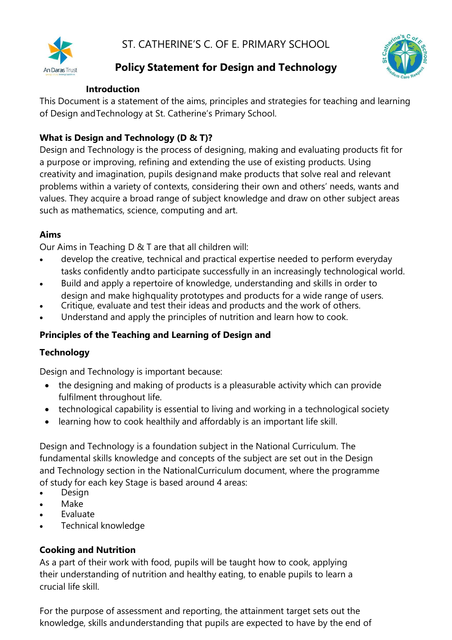

# **Policy Statement for Design and Technology**



#### **Introduction**

This Document is a statement of the aims, principles and strategies for teaching and learning of Design andTechnology at St. Catherine's Primary School.

### **What is Design and Technology (D & T)?**

Design and Technology is the process of designing, making and evaluating products fit for a purpose or improving, refining and extending the use of existing products. Using creativity and imagination, pupils designand make products that solve real and relevant problems within a variety of contexts, considering their own and others' needs, wants and values. They acquire a broad range of subject knowledge and draw on other subject areas such as mathematics, science, computing and art.

#### **Aims**

Our Aims in Teaching D & T are that all children will:

- develop the creative, technical and practical expertise needed to perform everyday tasks confidently andto participate successfully in an increasingly technological world.
- Build and apply a repertoire of knowledge, understanding and skills in order to design and make highquality prototypes and products for a wide range of users.
- Critique, evaluate and test their ideas and products and the work of others.
- Understand and apply the principles of nutrition and learn how to cook.

### **Principles of the Teaching and Learning of Design and**

### **Technology**

Design and Technology is important because:

- the designing and making of products is a pleasurable activity which can provide fulfilment throughout life.
- technological capability is essential to living and working in a technological society
- learning how to cook healthily and affordably is an important life skill.

Design and Technology is a foundation subject in the National Curriculum. The fundamental skills knowledge and concepts of the subject are set out in the Design and Technology section in the NationalCurriculum document, where the programme of study for each key Stage is based around 4 areas:

- Design
- Make
- **Evaluate**
- Technical knowledge

#### **Cooking and Nutrition**

As a part of their work with food, pupils will be taught how to cook, applying their understanding of nutrition and healthy eating, to enable pupils to learn a crucial life skill.

For the purpose of assessment and reporting, the attainment target sets out the knowledge, skills andunderstanding that pupils are expected to have by the end of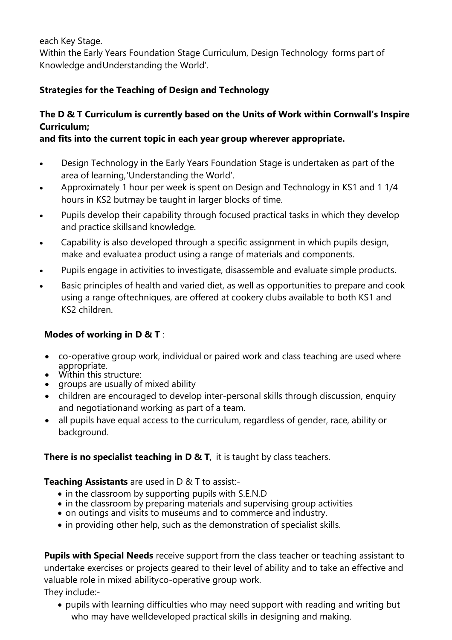each Key Stage.

Within the Early Years Foundation Stage Curriculum, Design Technology forms part of Knowledge andUnderstanding the World'.

## **Strategies for the Teaching of Design and Technology**

## **The D & T Curriculum is currently based on the Units of Work within Cornwall's Inspire Curriculum;**

### **and fits into the current topic in each year group wherever appropriate.**

- Design Technology in the Early Years Foundation Stage is undertaken as part of the area of learning,'Understanding the World'.
- Approximately 1 hour per week is spent on Design and Technology in KS1 and 1 1/4 hours in KS2 butmay be taught in larger blocks of time.
- Pupils develop their capability through focused practical tasks in which they develop and practice skillsand knowledge.
- Capability is also developed through a specific assignment in which pupils design, make and evaluatea product using a range of materials and components.
- Pupils engage in activities to investigate, disassemble and evaluate simple products.
- Basic principles of health and varied diet, as well as opportunities to prepare and cook using a range oftechniques, are offered at cookery clubs available to both KS1 and KS2 children.

### **Modes of working in D & T** :

- co-operative group work, individual or paired work and class teaching are used where appropriate.
- Within this structure:
- groups are usually of mixed ability
- children are encouraged to develop inter-personal skills through discussion, enquiry and negotiationand working as part of a team.
- all pupils have equal access to the curriculum, regardless of gender, race, ability or background.

## **There is no specialist teaching in D & T**, it is taught by class teachers.

### **Teaching Assistants** are used in D & T to assist:-

- in the classroom by supporting pupils with S.E.N.D
- in the classroom by preparing materials and supervising group activities
- on outings and visits to museums and to commerce and industry.
- in providing other help, such as the demonstration of specialist skills.

**Pupils with Special Needs** receive support from the class teacher or teaching assistant to undertake exercises or projects geared to their level of ability and to take an effective and valuable role in mixed abilityco-operative group work.

They include:-

• pupils with learning difficulties who may need support with reading and writing but who may have welldeveloped practical skills in designing and making.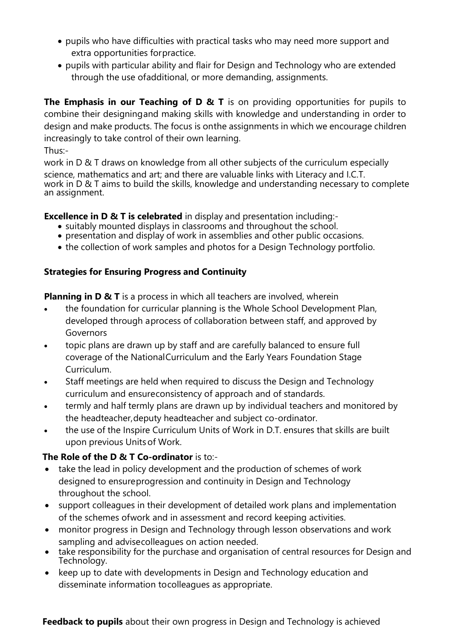- pupils who have difficulties with practical tasks who may need more support and extra opportunities forpractice.
- pupils with particular ability and flair for Design and Technology who are extended through the use ofadditional, or more demanding, assignments.

**The Emphasis in our Teaching of D & T** is on providing opportunities for pupils to combine their designingand making skills with knowledge and understanding in order to design and make products. The focus is onthe assignments in which we encourage children increasingly to take control of their own learning.

Thus:-

work in D & T draws on knowledge from all other subjects of the curriculum especially science, mathematics and art; and there are valuable links with Literacy and I.C.T. work in D & T aims to build the skills, knowledge and understanding necessary to complete an assignment.

**Excellence in D & T is celebrated** in display and presentation including:-

- suitably mounted displays in classrooms and throughout the school.
- presentation and display of work in assemblies and other public occasions.
- the collection of work samples and photos for a Design Technology portfolio.

### **Strategies for Ensuring Progress and Continuity**

**Planning in D & T** is a process in which all teachers are involved, wherein

- the foundation for curricular planning is the Whole School Development Plan, developed through aprocess of collaboration between staff, and approved by Governors
- topic plans are drawn up by staff and are carefully balanced to ensure full coverage of the NationalCurriculum and the Early Years Foundation Stage Curriculum.
- Staff meetings are held when required to discuss the Design and Technology curriculum and ensureconsistency of approach and of standards.
- termly and half termly plans are drawn up by individual teachers and monitored by the headteacher,deputy headteacher and subject co-ordinator.
- the use of the Inspire Curriculum Units of Work in D.T. ensures that skills are built upon previous Units of Work.

## **The Role of the D & T Co-ordinator** is to:-

- take the lead in policy development and the production of schemes of work designed to ensureprogression and continuity in Design and Technology throughout the school.
- support colleagues in their development of detailed work plans and implementation of the schemes ofwork and in assessment and record keeping activities.
- monitor progress in Design and Technology through lesson observations and work sampling and advisecolleagues on action needed.
- take responsibility for the purchase and organisation of central resources for Design and Technology.
- keep up to date with developments in Design and Technology education and disseminate information tocolleagues as appropriate.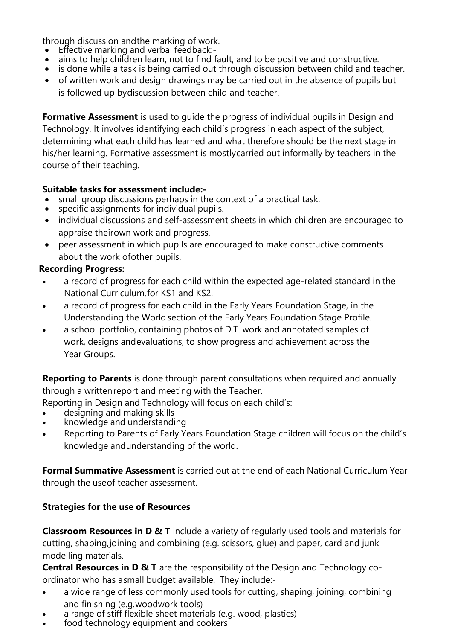through discussion andthe marking of work.

- Effective marking and verbal feedback:-<br>• aims to help children learn, not to find f
- aims to help children learn, not to find fault, and to be positive and constructive.
- is done while a task is being carried out through discussion between child and teacher.
- of written work and design drawings may be carried out in the absence of pupils but is followed up bydiscussion between child and teacher.

**Formative Assessment** is used to guide the progress of individual pupils in Design and Technology. It involves identifying each child's progress in each aspect of the subject, determining what each child has learned and what therefore should be the next stage in his/her learning. Formative assessment is mostlycarried out informally by teachers in the course of their teaching.

#### **Suitable tasks for assessment include:-**

- small group discussions perhaps in the context of a practical task.
- specific assignments for individual pupils.
- individual discussions and self-assessment sheets in which children are encouraged to appraise theirown work and progress.
- peer assessment in which pupils are encouraged to make constructive comments about the work ofother pupils.

#### **Recording Progress:**

- a record of progress for each child within the expected age-related standard in the National Curriculum,for KS1 and KS2.
- a record of progress for each child in the Early Years Foundation Stage, in the Understanding the World section of the Early Years Foundation Stage Profile.
- a school portfolio, containing photos of D.T. work and annotated samples of work, designs andevaluations, to show progress and achievement across the Year Groups.

**Reporting to Parents** is done through parent consultations when required and annually through a writtenreport and meeting with the Teacher.

Reporting in Design and Technology will focus on each child's:

- designing and making skills
- knowledge and understanding
- Reporting to Parents of Early Years Foundation Stage children will focus on the child's knowledge andunderstanding of the world.

**Formal Summative Assessment** is carried out at the end of each National Curriculum Year through the useof teacher assessment.

### **Strategies for the use of Resources**

**Classroom Resources in D & T** include a variety of regularly used tools and materials for cutting, shaping,joining and combining (e.g. scissors, glue) and paper, card and junk modelling materials.

**Central Resources in D & T** are the responsibility of the Design and Technology coordinator who has asmall budget available. They include:-

- a wide range of less commonly used tools for cutting, shaping, joining, combining and finishing (e.g.woodwork tools)
- a range of stiff flexible sheet materials (e.g. wood, plastics)
- food technology equipment and cookers